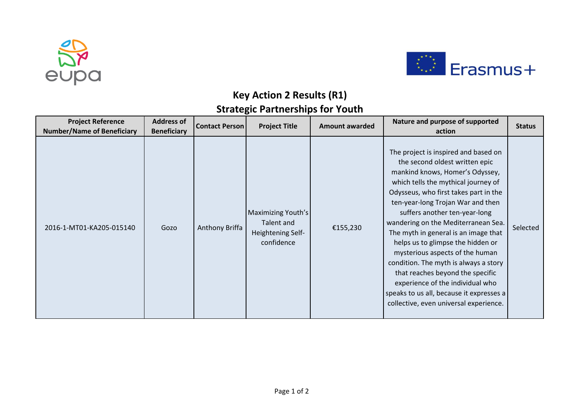



## **Key Action 2 Results (R1) Strategic Partnerships for Youth**

| <b>Project Reference</b><br><b>Number/Name of Beneficiary</b> | <b>Address of</b><br><b>Beneficiary</b> | <b>Contact Person</b> | <b>Project Title</b>                                                       | <b>Amount awarded</b> | Nature and purpose of supported<br>action                                                                                                                                                                                                                                                                                                                                                                                                                                                                                                                                                                                     | <b>Status</b> |
|---------------------------------------------------------------|-----------------------------------------|-----------------------|----------------------------------------------------------------------------|-----------------------|-------------------------------------------------------------------------------------------------------------------------------------------------------------------------------------------------------------------------------------------------------------------------------------------------------------------------------------------------------------------------------------------------------------------------------------------------------------------------------------------------------------------------------------------------------------------------------------------------------------------------------|---------------|
| 2016-1-MT01-KA205-015140                                      | Gozo                                    | Anthony Briffa        | <b>Maximizing Youth's</b><br>Talent and<br>Heightening Self-<br>confidence | €155,230              | The project is inspired and based on<br>the second oldest written epic<br>mankind knows, Homer's Odyssey,<br>which tells the mythical journey of<br>Odysseus, who first takes part in the<br>ten-year-long Trojan War and then<br>suffers another ten-year-long<br>wandering on the Mediterranean Sea.<br>The myth in general is an image that<br>helps us to glimpse the hidden or<br>mysterious aspects of the human<br>condition. The myth is always a story<br>that reaches beyond the specific<br>experience of the individual who<br>speaks to us all, because it expresses a<br>collective, even universal experience. | Selected      |